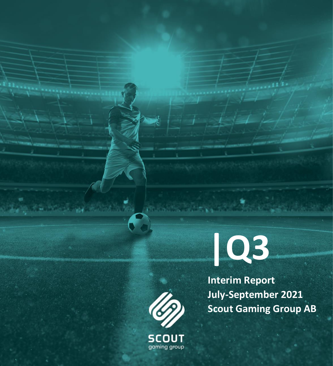

**Interim Report July-September 2021 Scout Gaming Group AB**



**SCOUT** gaming group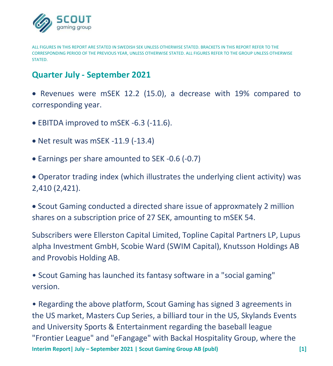

ALL FIGURES IN THIS REPORT ARE STATED IN SWEDISH SEK UNLESS OTHERWISE STATED. BRACKETS IN THIS REPORT REFER TO THE CORRESPONDING PERIOD OF THE PREVIOUS YEAR, UNLESS OTHERWISE STATED. ALL FIGURES REFER TO THE GROUP UNLESS OTHERWISE **STATED.** 

# **Quarter July - September 2021**

• Revenues were mSEK 12.2 (15.0), a decrease with 19% compared to corresponding year.

- EBITDA improved to mSEK -6.3 (-11.6).
- Net result was mSEK -11.9 (-13.4)
- Earnings per share amounted to SEK -0.6 (-0.7)

• Operator trading index (which illustrates the underlying client activity) was 2,410 (2,421).

• Scout Gaming conducted a directed share issue of approxmately 2 million shares on a subscription price of 27 SEK, amounting to mSEK 54.

Subscribers were Ellerston Capital Limited, Topline Capital Partners LP, Lupus alpha Investment GmbH, Scobie Ward (SWIM Capital), Knutsson Holdings AB and Provobis Holding AB.

• Scout Gaming has launched its fantasy software in a "social gaming" version.

**Interim Report| July – September 2021 | Scout Gaming Group AB (publ) [1]** • Regarding the above platform, Scout Gaming has signed 3 agreements in the US market, Masters Cup Series, a billiard tour in the US, Skylands Events and University Sports & Entertainment regarding the baseball league "Frontier League" and "eFangage" with Backal Hospitality Group, where the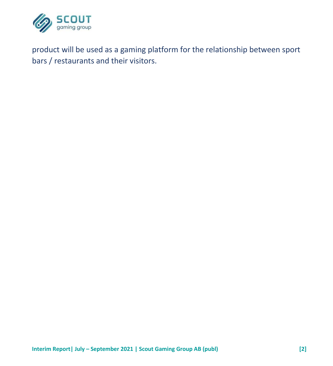

product will be used as a gaming platform for the relationship between sport bars / restaurants and their visitors.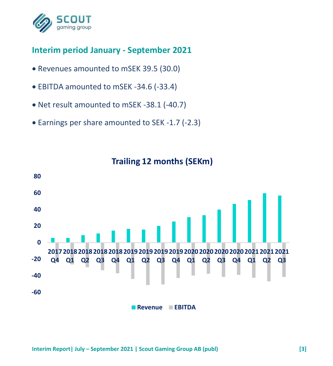

# **Interim period January - September 2021**

- Revenues amounted to mSEK 39.5 (30.0)
- EBITDA amounted to mSEK -34.6 (-33.4)
- Net result amounted to mSEK -38.1 (-40.7)
- Earnings per share amounted to SEK -1.7 (-2.3)



## **Trailing 12 months (SEKm)**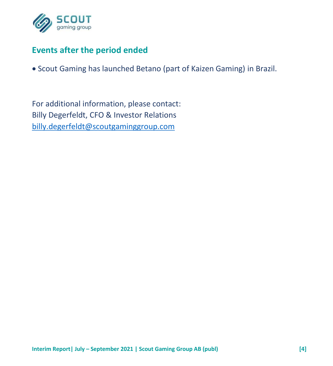

# **Events after the period ended**

• Scout Gaming has launched Betano (part of Kaizen Gaming) in Brazil.

For additional information, please contact: Billy Degerfeldt, CFO & Investor Relations [billy.degerfeldt@scoutgaminggroup.com](mailto:billy.degerfeldt@scoutgaminggroup.com)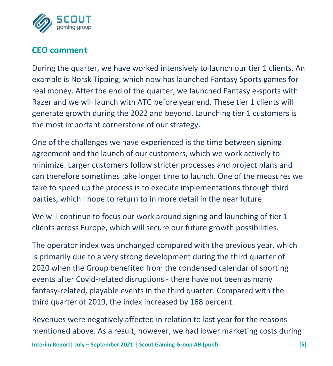

# **CEO comment**

During the quarter, we have worked intensively to launch our tier 1 clients. An example is Norsk Tipping, which now has launched Fantasy Sports games for real money. After the end of the quarter, we launched Fantasy e-sports with Razer and we will launch with ATG before year end. These tier 1 clients will generate growth during the 2022 and beyond. Launching tier 1 customers is the most important cornerstone of our strategy.

One of the challenges we have experienced is the time between signing agreement and the launch of our customers, which we work actively to minimize. Larger customers follow stricter processes and project plans and can therefore sometimes take longer time to launch. One of the measures we take to speed up the process is to execute implementations through third parties, which I hope to return to in more detail in the near future.

We will continue to focus our work around signing and launching of tier 1 clients across Europe, which will secure our future growth possibilities.

The operator index was unchanged compared with the previous year, which is primarily due to a very strong development during the third quarter of 2020 when the Group benefited from the condensed calendar of sporting events after Covid-related disruptions - there have not been as many fantasy-related, playable events in the third quarter. Compared with the third quarter of 2019, the index increased by 168 percent.

**Interim Report| July – September 2021 | Scout Gaming Group AB (publ) [5]** Revenues were negatively affected in relation to last year for the reasons mentioned above. As a result, however, we had lower marketing costs during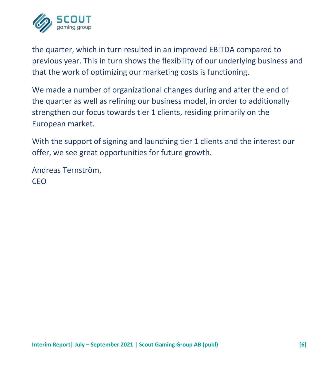

the quarter, which in turn resulted in an improved EBITDA compared to previous year. This in turn shows the flexibility of our underlying business and that the work of optimizing our marketing costs is functioning.

We made a number of organizational changes during and after the end of the quarter as well as refining our business model, in order to additionally strengthen our focus towards tier 1 clients, residing primarily on the European market.

With the support of signing and launching tier 1 clients and the interest our offer, we see great opportunities for future growth.

Andreas Ternström, CEO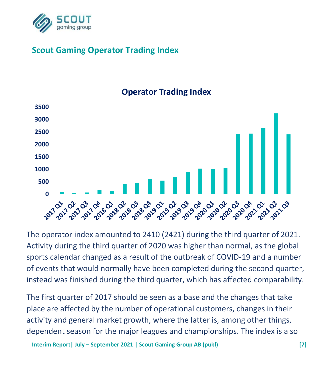

# **Scout Gaming Operator Trading Index**



## **Operator Trading Index**

The operator index amounted to 2410 (2421) during the third quarter of 2021. Activity during the third quarter of 2020 was higher than normal, as the global sports calendar changed as a result of the outbreak of COVID-19 and a number of events that would normally have been completed during the second quarter, instead was finished during the third quarter, which has affected comparability.

The first quarter of 2017 should be seen as a base and the changes that take place are affected by the number of operational customers, changes in their activity and general market growth, where the latter is, among other things, dependent season for the major leagues and championships. The index is also

**Interim Report| July – September 2021 | Scout Gaming Group AB (publ) [7]**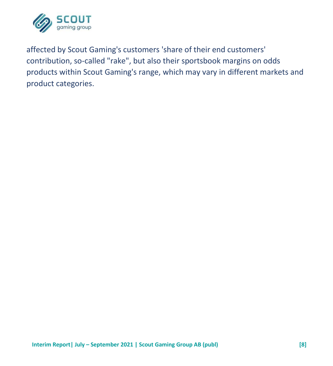![](_page_8_Picture_0.jpeg)

affected by Scout Gaming's customers 'share of their end customers' contribution, so-called "rake", but also their sportsbook margins on odds products within Scout Gaming's range, which may vary in different markets and product categories.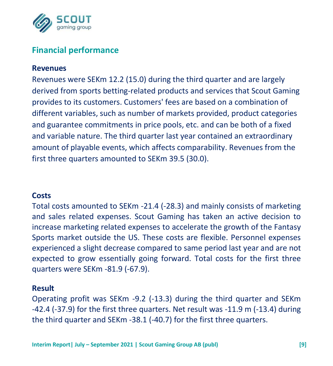![](_page_9_Picture_0.jpeg)

## **Financial performance**

#### **Revenues**

Revenues were SEKm 12.2 (15.0) during the third quarter and are largely derived from sports betting-related products and services that Scout Gaming provides to its customers. Customers' fees are based on a combination of different variables, such as number of markets provided, product categories and guarantee commitments in price pools, etc. and can be both of a fixed and variable nature. The third quarter last year contained an extraordinary amount of playable events, which affects comparability. Revenues from the first three quarters amounted to SEKm 39.5 (30.0).

#### **Costs**

Total costs amounted to SEKm -21.4 (-28.3) and mainly consists of marketing and sales related expenses. Scout Gaming has taken an active decision to increase marketing related expenses to accelerate the growth of the Fantasy Sports market outside the US. These costs are flexible. Personnel expenses experienced a slight decrease compared to same period last year and are not expected to grow essentially going forward. Total costs for the first three quarters were SEKm -81.9 (-67.9).

#### **Result**

Operating profit was SEKm -9.2 (-13.3) during the third quarter and SEKm -42.4 (-37.9) for the first three quarters. Net result was -11.9 m (-13.4) during the third quarter and SEKm -38.1 (-40.7) for the first three quarters.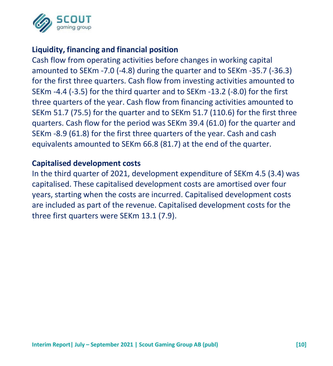![](_page_10_Picture_0.jpeg)

### **Liquidity, financing and financial position**

Cash flow from operating activities before changes in working capital amounted to SEKm -7.0 (-4.8) during the quarter and to SEKm -35.7 (-36.3) for the first three quarters. Cash flow from investing activities amounted to SEKm -4.4 (-3.5) for the third quarter and to SEKm -13.2 (-8.0) for the first three quarters of the year. Cash flow from financing activities amounted to SEKm 51.7 (75.5) for the quarter and to SEKm 51.7 (110.6) for the first three quarters. Cash flow for the period was SEKm 39.4 (61.0) for the quarter and SEKm -8.9 (61.8) for the first three quarters of the year. Cash and cash equivalents amounted to SEKm 66.8 (81.7) at the end of the quarter.

#### **Capitalised development costs**

In the third quarter of 2021, development expenditure of SEKm 4.5 (3.4) was capitalised. These capitalised development costs are amortised over four years, starting when the costs are incurred. Capitalised development costs are included as part of the revenue. Capitalised development costs for the three first quarters were SEKm 13.1 (7.9).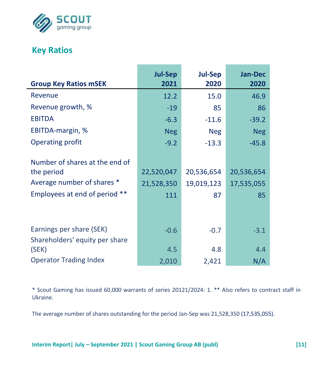![](_page_11_Picture_0.jpeg)

## **Key Ratios**

L

|                                         | <b>Jul-Sep</b> | <b>Jul-Sep</b> | <b>Jan-Dec</b> |
|-----------------------------------------|----------------|----------------|----------------|
| <b>Group Key Ratios mSEK</b>            | 2021           | 2020           | 2020           |
| Revenue                                 | 12.2           | 15.0           | 46.9           |
| Revenue growth, %                       | $-19$          | 85             | 86             |
| <b>EBITDA</b>                           | $-6.3$         | $-11.6$        | $-39.2$        |
| EBITDA-margin, %                        | <b>Neg</b>     | <b>Neg</b>     | <b>Neg</b>     |
| <b>Operating profit</b>                 | $-9.2$         | $-13.3$        | $-45.8$        |
| Number of shares at the end of          |                |                |                |
| the period                              | 22,520,047     | 20,536,654     | 20,536,654     |
| Average number of shares *              | 21,528,350     | 19,019,123     | 17,535,055     |
| Employees at end of period **           | 111            | 87             | 85             |
|                                         |                |                |                |
| Earnings per share (SEK)                | $-0.6$         | $-0.7$         | $-3.1$         |
| Shareholders' equity per share<br>(SEK) | 4.5            | 4.8            | 4.4            |
| <b>Operator Trading Index</b>           | 2,010          | 2,421          | N/A            |

\* Scout Gaming has issued 60,000 warrants of series 20121/2024: 1. \*\* Also refers to contract staff in Ukraine.

The average number of shares outstanding for the period Jan-Sep was 21,528,350 (17,535,055).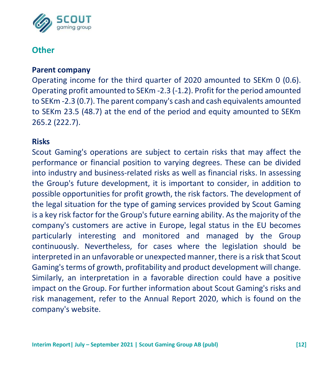![](_page_12_Picture_0.jpeg)

## **Other**

#### **Parent company**

Operating income for the third quarter of 2020 amounted to SEKm 0 (0.6). Operating profit amounted to SEKm -2.3 (-1.2). Profit for the period amounted to SEKm -2.3 (0.7). The parent company's cash and cash equivalents amounted to SEKm 23.5 (48.7) at the end of the period and equity amounted to SEKm 265.2 (222.7).

#### **Risks**

Scout Gaming's operations are subject to certain risks that may affect the performance or financial position to varying degrees. These can be divided into industry and business-related risks as well as financial risks. In assessing the Group's future development, it is important to consider, in addition to possible opportunities for profit growth, the risk factors. The development of the legal situation for the type of gaming services provided by Scout Gaming is a key risk factor for the Group's future earning ability. As the majority of the company's customers are active in Europe, legal status in the EU becomes particularly interesting and monitored and managed by the Group continuously. Nevertheless, for cases where the legislation should be interpreted in an unfavorable or unexpected manner, there is a risk that Scout Gaming's terms of growth, profitability and product development will change. Similarly, an interpretation in a favorable direction could have a positive impact on the Group. For further information about Scout Gaming's risks and risk management, refer to the Annual Report 2020, which is found on the company's website.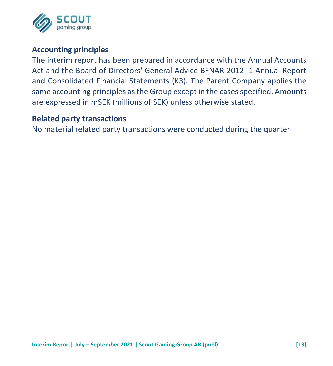![](_page_13_Picture_0.jpeg)

#### **Accounting principles**

The interim report has been prepared in accordance with the Annual Accounts Act and the Board of Directors' General Advice BFNAR 2012: 1 Annual Report and Consolidated Financial Statements (K3). The Parent Company applies the same accounting principles as the Group except in the cases specified. Amounts are expressed in mSEK (millions of SEK) unless otherwise stated.

#### **Related party transactions**

No material related party transactions were conducted during the quarter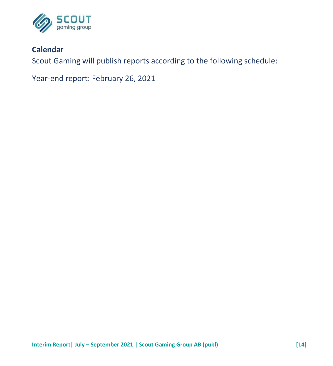![](_page_14_Picture_0.jpeg)

### **Calendar**

Scout Gaming will publish reports according to the following schedule:

Year-end report: February 26, 2021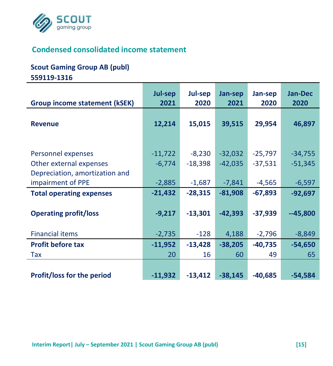![](_page_15_Picture_0.jpeg)

# **Condensed consolidated income statement**

#### **Scout Gaming Group AB (publ)**

**559119-1316**

|                                                                                                      | Jul-sep                           | Jul-sep                           | Jan-sep                            | Jan-sep                            | <b>Jan-Dec</b>                     |
|------------------------------------------------------------------------------------------------------|-----------------------------------|-----------------------------------|------------------------------------|------------------------------------|------------------------------------|
| <b>Group income statement (kSEK)</b>                                                                 | 2021                              | 2020                              | 2021                               | 2020                               | 2020                               |
| <b>Revenue</b>                                                                                       | 12,214                            | 15,015                            | 39,515                             | 29,954                             | 46,897                             |
| Personnel expenses<br>Other external expenses<br>Depreciation, amortization and<br>impairment of PPE | $-11,722$<br>$-6,774$<br>$-2,885$ | $-8,230$<br>$-18,398$<br>$-1,687$ | $-32,032$<br>$-42,035$<br>$-7,841$ | $-25,797$<br>$-37,531$<br>$-4,565$ | $-34,755$<br>$-51,345$<br>$-6,597$ |
| <b>Total operating expenses</b>                                                                      | $-21,432$                         | $-28,315$                         | $-81,908$                          | $-67,893$                          | $-92,697$                          |
| <b>Operating profit/loss</b>                                                                         | $-9,217$                          | $-13,301$                         | $-42,393$                          | $-37,939$                          | $-45,800$                          |
| <b>Financial items</b>                                                                               | $-2,735$                          | $-128$                            | 4,188                              | $-2,796$                           | $-8,849$                           |
| <b>Profit before tax</b>                                                                             | $-11,952$                         | $-13,428$                         | $-38,205$                          | $-40,735$                          | $-54,650$                          |
| Tax                                                                                                  | 20                                | 16                                | 60                                 | 49                                 | 65                                 |
| <b>Profit/loss for the period</b>                                                                    | $-11,932$                         | $-13,412$                         | $-38,145$                          | $-40,685$                          | $-54,584$                          |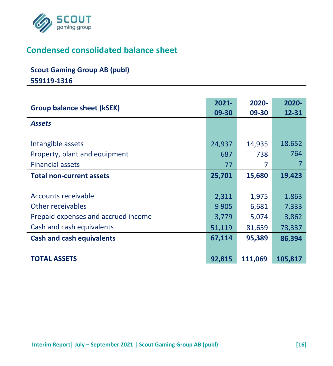![](_page_16_Picture_0.jpeg)

# **Condensed consolidated balance sheet**

# **Scout Gaming Group AB (publ)**

**559119-1316**

| Group balance sheet (kSEK)          | $2021 -$<br>09-30 | 2020-<br>09-30 | $2020 -$<br>12-31 |
|-------------------------------------|-------------------|----------------|-------------------|
| <b>Assets</b>                       |                   |                |                   |
| Intangible assets                   | 24,937            | 14,935         | 18,652            |
| Property, plant and equipment       | 687               | 738            | 764               |
| <b>Financial assets</b>             | 77                | 7              |                   |
| <b>Total non-current assets</b>     | 25,701            | 15,680         | 19,423            |
|                                     |                   |                |                   |
| Accounts receivable                 | 2,311             | 1,975          | 1,863             |
| Other receivables                   | 9 9 0 5           | 6,681          | 7,333             |
| Prepaid expenses and accrued income | 3,779             | 5,074          | 3,862             |
| Cash and cash equivalents           | 51,119            | 81,659         | 73,337            |
| <b>Cash and cash equivalents</b>    | 67,114            | 95,389         | 86,394            |
|                                     |                   |                |                   |
| <b>TOTAL ASSETS</b>                 | 92,815            | 111,069        | 105,817           |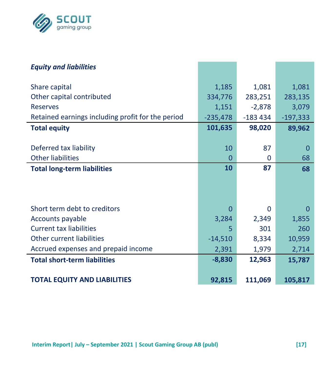![](_page_17_Picture_0.jpeg)

| <b>Equity and liabilities</b>                     |            |           |            |
|---------------------------------------------------|------------|-----------|------------|
| Share capital                                     | 1,185      | 1,081     | 1,081      |
| Other capital contributed                         | 334,776    | 283,251   | 283,135    |
| <b>Reserves</b>                                   | 1,151      | $-2,878$  | 3,079      |
| Retained earnings including profit for the period | $-235,478$ | $-183434$ | $-197,333$ |
| <b>Total equity</b>                               | 101,635    | 98,020    | 89,962     |
|                                                   |            |           |            |
| Deferred tax liability                            | 10         | 87        | O          |
| <b>Other liabilities</b>                          | 0          | 0         | 68         |
| <b>Total long-term liabilities</b>                | 10         | 87        | 68         |
|                                                   |            |           |            |
|                                                   |            |           |            |
| Short term debt to creditors                      | 0          | 0         | 0          |
| Accounts payable                                  | 3,284      | 2,349     | 1,855      |
| <b>Current tax liabilities</b>                    | 5          | 301       | 260        |
| Other current liabilities                         | $-14,510$  | 8,334     | 10,959     |
| Accrued expenses and prepaid income               | 2,391      | 1,979     | 2,714      |
| <b>Total short-term liabilities</b>               | $-8,830$   | 12,963    | 15,787     |
|                                                   |            |           |            |
| <b>TOTAL EQUITY AND LIABILITIES</b>               | 92,815     | 111,069   | 105,817    |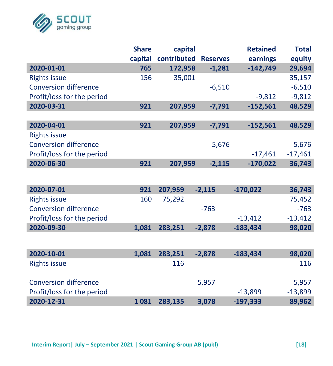![](_page_18_Picture_0.jpeg)

|                              | <b>Share</b> | capital     |                 | <b>Retained</b> | <b>Total</b> |
|------------------------------|--------------|-------------|-----------------|-----------------|--------------|
|                              | capital      | contributed | <b>Reserves</b> | earnings        | equity       |
| 2020-01-01                   | 765          | 172,958     | $-1,281$        | $-142,749$      | 29,694       |
| <b>Rights issue</b>          | 156          | 35,001      |                 |                 | 35,157       |
| <b>Conversion difference</b> |              |             | $-6,510$        |                 | $-6,510$     |
| Profit/loss for the period   |              |             |                 | $-9,812$        | $-9,812$     |
| 2020-03-31                   | 921          | 207,959     | $-7,791$        | $-152,561$      | 48,529       |
|                              |              |             |                 |                 |              |
| 2020-04-01                   | 921          | 207,959     | $-7,791$        | $-152,561$      | 48,529       |
| <b>Rights issue</b>          |              |             |                 |                 |              |
| <b>Conversion difference</b> |              |             | 5,676           |                 | 5,676        |
| Profit/loss for the period   |              |             |                 | $-17,461$       | $-17,461$    |
| 2020-06-30                   | 921          | 207,959     | $-2,115$        | $-170,022$      | 36,743       |
|                              |              |             |                 |                 |              |
|                              |              |             |                 |                 |              |
| 2020-07-01                   | 921          | 207,959     | $-2,115$        | $-170,022$      | 36,743       |
| <b>Rights issue</b>          | 160          | 75,292      |                 |                 | 75,452       |
| <b>Conversion difference</b> |              |             | $-763$          |                 | $-763$       |
| Profit/loss for the period   |              |             |                 | $-13,412$       | $-13,412$    |
| 2020-09-30                   | 1,081        | 283,251     | $-2,878$        | $-183,434$      | 98,020       |
|                              |              |             |                 |                 |              |
| 2020-10-01                   |              |             |                 |                 | 98,020       |
|                              | 1,081        | 283,251     | $-2,878$        | $-183,434$      |              |
| <b>Rights issue</b>          |              | 116         |                 |                 | 116          |
|                              |              |             |                 |                 |              |
| <b>Conversion difference</b> |              |             | 5,957           |                 | 5,957        |
| Profit/loss for the period   |              |             |                 | $-13,899$       | $-13,899$    |
| 2020-12-31                   | 1081         | 283,135     | 3,078           | $-197,333$      | 89,962       |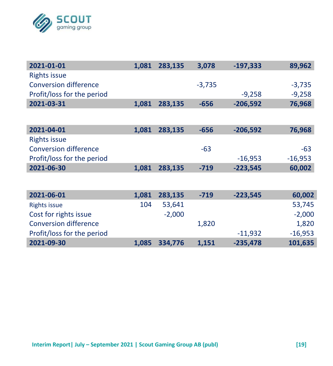![](_page_19_Picture_0.jpeg)

| 2021-01-01                   | 1,081 | 283,135  | 3,078    | $-197,333$ | 89,962    |
|------------------------------|-------|----------|----------|------------|-----------|
| <b>Rights issue</b>          |       |          |          |            |           |
| Conversion difference        |       |          | $-3,735$ |            | $-3,735$  |
| Profit/loss for the period   |       |          |          | $-9,258$   | $-9,258$  |
| 2021-03-31                   | 1,081 | 283,135  | $-656$   | $-206,592$ | 76,968    |
|                              |       |          |          |            |           |
| 2021-04-01                   | 1,081 | 283,135  | $-656$   | $-206,592$ | 76,968    |
| Rights issue                 |       |          |          |            |           |
| <b>Conversion difference</b> |       |          | $-63$    |            | -63       |
| Profit/loss for the period   |       |          |          | $-16,953$  | $-16,953$ |
| 2021-06-30                   | 1,081 | 283,135  | $-719$   | $-223,545$ | 60,002    |
|                              |       |          |          |            |           |
| 2021-06-01                   | 1,081 | 283,135  | $-719$   | $-223,545$ | 60,002    |
| <b>Rights issue</b>          | 104   | 53,641   |          |            | 53,745    |
| Cost for rights issue        |       | $-2,000$ |          |            | $-2,000$  |
| <b>Conversion difference</b> |       |          | 1,820    |            | 1,820     |
| Profit/loss for the period   |       |          |          | $-11,932$  | $-16,953$ |
| 2021-09-30                   | 1,085 | 334,776  | 1,151    | $-235,478$ | 101,635   |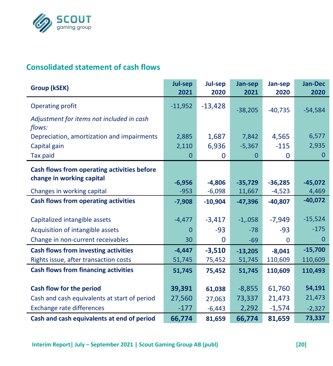![](_page_20_Picture_0.jpeg)

# **Consolidated statement of cash flows**

| Group (kSEK)                                        | Jul-sep<br>2021    | Jul-sep<br>2020      | Jan-sep<br>2021     | Jan-sep<br>2020       | <b>Jan-Dec</b><br>2020 |
|-----------------------------------------------------|--------------------|----------------------|---------------------|-----------------------|------------------------|
| Operating profit                                    | $-11,952$          | $-13,428$            | $-38,205$           | $-40,735$             | $-54,584$              |
| Adjustment for items not included in cash<br>flows: |                    |                      |                     |                       |                        |
| Depreciation, amortization and impairments          | 2,885              | 1,687                | 7,842               | 4,565                 | 6,577                  |
| Capital gain                                        | 2,110              | 6,936                | $-5,367$            | $-115$                | 2,935                  |
| <b>Tax paid</b>                                     | 0                  | 0                    | 0                   | 0                     | $\mathbf{0}$           |
| Cash flows from operating activities before         |                    |                      |                     |                       |                        |
| change in working capital                           |                    |                      |                     |                       |                        |
| Changes in working capital                          | $-6,956$<br>$-953$ | $-4.806$<br>$-6,098$ | $-35,729$<br>11,667 | $-36,285$<br>$-4,523$ | $-45,072$<br>4,469     |
| <b>Cash flows from operating activities</b>         | $-7,908$           | $-10,904$            | $-47,396$           | $-40,807$             | $-40,072$              |
|                                                     |                    |                      |                     |                       |                        |
| Capitalized intangible assets                       | $-4,477$           | $-3,417$             | $-1,058$            | $-7,949$              | $-15,524$              |
| Acquisition of intangible assets                    | $\Omega$           | $-93$                | $-78$               | $-93$                 | $-175$                 |
| Change in non-current receivables                   | 30                 | 0                    | $-69$               | 0                     | $\Omega$               |
| <b>Cash flows from investing activities</b>         | $-4,447$           | $-3,510$             | $-13,205$           | $-8,041$              | $-15,700$              |
| Rights issue, after transaction costs               | 51,745             | 75,452               | 51,745              | 110,609               | 110,609                |
| <b>Cash flows from financing activities</b>         | 51,745             | 75,452               | 51,745              | 110,609               | 110,493                |
|                                                     |                    |                      |                     |                       |                        |
| Cash flow for the period                            | 39,391             | 61,038               | $-8,855$            | 61,760                | 54,191                 |
| Cash and cash equivalents at start of period        | 27,560             | 27,063               | 73,337              | 21,473                | 21,473                 |
| Exchange rate differences                           | $-177$             | $-6,443$             | 2,292               | $-1,574$              | $-2,327$               |
| Cash and cash equivalents at end of period          | 66,774             | 81,659               | 66,774              | 81,659                | 73,337                 |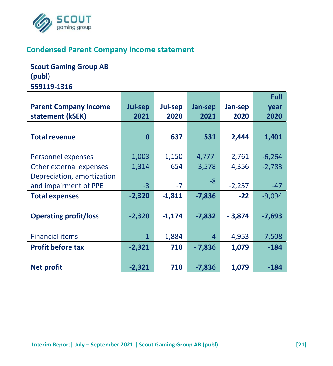![](_page_21_Picture_0.jpeg)

### **Condensed Parent Company income statement**

**Scout Gaming Group AB (publ) 559119-1316**

|                              |          |          |          |          | Full     |
|------------------------------|----------|----------|----------|----------|----------|
| <b>Parent Company income</b> | Jul-sep  | Jul-sep  | Jan-sep  | Jan-sep  | year     |
| statement (kSEK)             | 2021     | 2020     | 2021     | 2020     | 2020     |
|                              |          |          |          |          |          |
| <b>Total revenue</b>         | $\bf{0}$ | 637      | 531      | 2,444    | 1,401    |
|                              |          |          |          |          |          |
| Personnel expenses           | $-1,003$ | $-1,150$ | - 4,777  | 2,761    | $-6,264$ |
| Other external expenses      | $-1,314$ | $-654$   | $-3,578$ | $-4,356$ | $-2,783$ |
| Depreciation, amortization   |          |          |          |          |          |
| and impairment of PPE        | $-3$     | $-7$     | -8       | $-2,257$ | $-47$    |
| <b>Total expenses</b>        | $-2,320$ | $-1.811$ | $-7.836$ | $-22$    | $-9,094$ |
|                              |          |          |          |          |          |
| <b>Operating profit/loss</b> | $-2,320$ | $-1,174$ | $-7,832$ | $-3,874$ | $-7,693$ |
|                              |          |          |          |          |          |
| <b>Financial items</b>       | $-1$     | 1,884    | $-4$     | 4,953    | 7,508    |
| <b>Profit before tax</b>     | $-2,321$ | 710      | $-7,836$ | 1,079    | $-184$   |
|                              |          |          |          |          |          |
| <b>Net profit</b>            | $-2,321$ | 710      | $-7,836$ | 1,079    | $-184$   |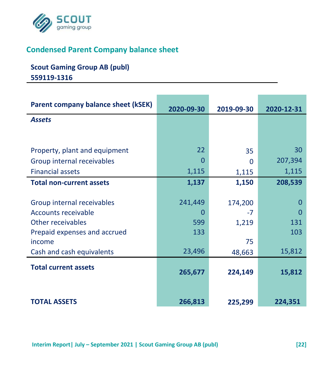![](_page_22_Picture_0.jpeg)

# **Condensed Parent Company balance sheet**

# **Scout Gaming Group AB (publ) 559119-1316**

| Parent company balance sheet (kSEK) | 2020-09-30 | 2019-09-30 | 2020-12-31 |
|-------------------------------------|------------|------------|------------|
| <b>Assets</b>                       |            |            |            |
|                                     |            |            |            |
|                                     |            |            |            |
| Property, plant and equipment       | 22         | 35         | 30         |
| Group internal receivables          | O          | $\Omega$   | 207,394    |
| <b>Financial assets</b>             | 1,115      | 1,115      | 1,115      |
| <b>Total non-current assets</b>     | 1,137      | 1,150      | 208,539    |
|                                     |            |            |            |
| Group internal receivables          | 241,449    | 174,200    | 0          |
| Accounts receivable                 | O          | -7         |            |
| Other receivables                   | 599        | 1,219      | 131        |
| Prepaid expenses and accrued        | 133        |            | 103        |
| income                              |            | 75         |            |
| Cash and cash equivalents           | 23,496     | 48,663     | 15,812     |
| <b>Total current assets</b>         |            |            |            |
|                                     | 265,677    | 224,149    | 15,812     |
|                                     |            |            |            |
|                                     |            |            |            |
| <b>TOTAL ASSETS</b>                 | 266,813    | 225,299    | 224,351    |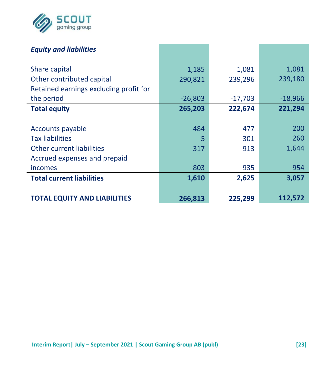![](_page_23_Picture_0.jpeg)

| <b>Equity and liabilities</b>          |           |           |           |
|----------------------------------------|-----------|-----------|-----------|
| Share capital                          | 1,185     | 1,081     | 1,081     |
| Other contributed capital              | 290,821   | 239,296   | 239,180   |
| Retained earnings excluding profit for |           |           |           |
| the period                             | $-26,803$ | $-17,703$ | $-18,966$ |
| <b>Total equity</b>                    | 265,203   | 222,674   | 221,294   |
|                                        |           |           |           |
| Accounts payable                       | 484       | 477       | 200       |
| <b>Tax liabilities</b>                 | 5         | 301       | 260       |
| Other current liabilities              | 317       | 913       | 1,644     |
| Accrued expenses and prepaid           |           |           |           |
| incomes                                | 803       | 935       | 954       |
| <b>Total current liabilities</b>       | 1,610     | 2,625     | 3,057     |
|                                        |           |           |           |
| <b>TOTAL EQUITY AND LIABILITIES</b>    | 266,813   | 225,299   | 112,572   |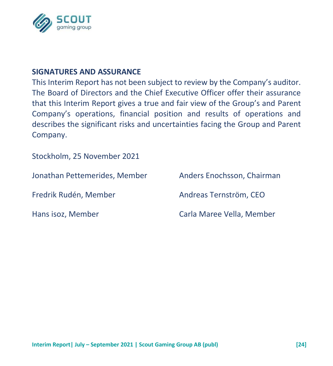![](_page_24_Picture_0.jpeg)

#### **SIGNATURES AND ASSURANCE**

This Interim Report has not been subject to review by the Company's auditor. The Board of Directors and the Chief Executive Officer offer their assurance that this Interim Report gives a true and fair view of the Group's and Parent Company's operations, financial position and results of operations and describes the significant risks and uncertainties facing the Group and Parent Company.

Stockholm, 25 November 2021

| Jonathan Pettemerides, Member | Anders Enochsson, Chairman |
|-------------------------------|----------------------------|
| Fredrik Rudén, Member         | Andreas Ternström. CEO     |
| Hans isoz, Member             | Carla Maree Vella, Member  |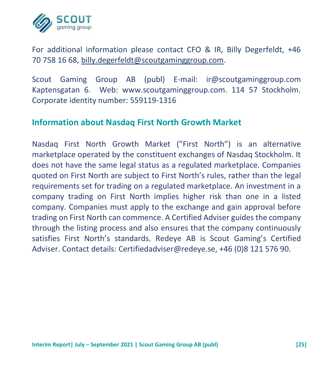![](_page_25_Picture_0.jpeg)

For additional information please contact CFO & IR, Billy Degerfeldt, +46 70 758 16 68, [billy.degerfeldt@scoutgaminggroup.com.](mailto:billy.degerfeldt@scoutgaminggroup.com)

Scout Gaming Group AB (publ) E-mail: ir@scoutgaminggroup.com Kaptensgatan 6. Web: www.scoutgaminggroup.com. 114 57 Stockholm. Corporate identity number: 559119-1316

#### **Information about Nasdaq First North Growth Market**

Nasdaq First North Growth Market ("First North") is an alternative marketplace operated by the constituent exchanges of Nasdaq Stockholm. It does not have the same legal status as a regulated marketplace. Companies quoted on First North are subject to First North's rules, rather than the legal requirements set for trading on a regulated marketplace. An investment in a company trading on First North implies higher risk than one in a listed company. Companies must apply to the exchange and gain approval before trading on First North can commence. A Certified Adviser guides the company through the listing process and also ensures that the company continuously satisfies First North's standards. Redeye AB is Scout Gaming's Certified Adviser. Contact details: Certifiedadviser@redeye.se, +46 (0)8 121 576 90.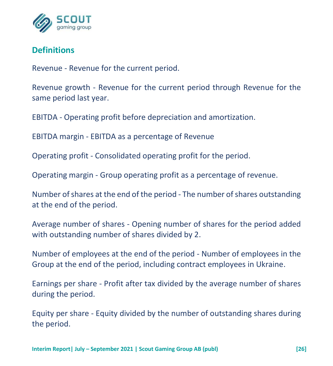![](_page_26_Picture_0.jpeg)

## **Definitions**

Revenue - Revenue for the current period.

Revenue growth - Revenue for the current period through Revenue for the same period last year.

EBITDA - Operating profit before depreciation and amortization.

EBITDA margin - EBITDA as a percentage of Revenue

Operating profit - Consolidated operating profit for the period.

Operating margin - Group operating profit as a percentage of revenue.

Number of shares at the end of the period - The number of shares outstanding at the end of the period.

Average number of shares - Opening number of shares for the period added with outstanding number of shares divided by 2.

Number of employees at the end of the period - Number of employees in the Group at the end of the period, including contract employees in Ukraine.

Earnings per share - Profit after tax divided by the average number of shares during the period.

Equity per share - Equity divided by the number of outstanding shares during the period.